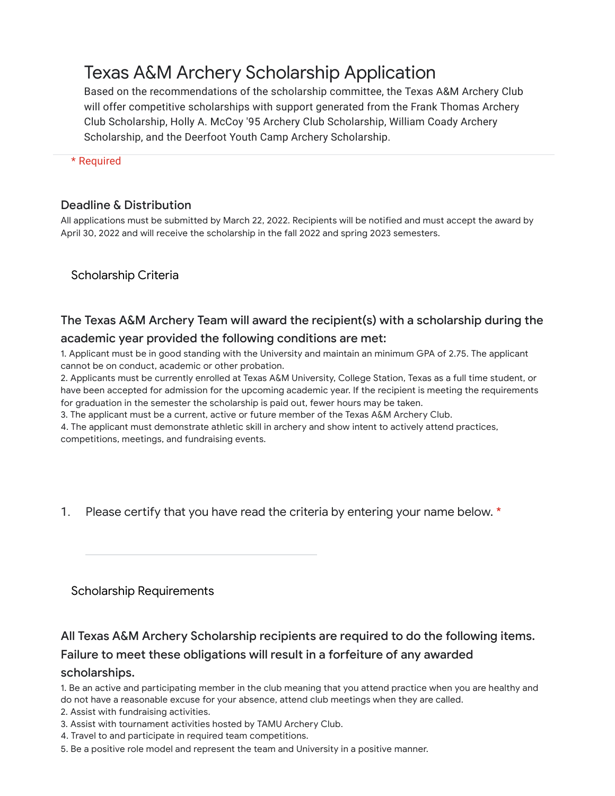# Texas A&M Archery Scholarship Application

Based on the recommendations of the scholarship committee, the Texas A&M Archery Club will offer competitive scholarships with support generated from the Frank Thomas Archery Club Scholarship, Holly A. McCoy '95 Archery Club Scholarship, William Coady Archery Scholarship, and the Deerfoot Youth Camp Archery Scholarship.

\* Required

#### Deadline & Distribution

All applications must be submitted by March 22, 2022. Recipients will be notified and must accept the award by April 30, 2022 and will receive the scholarship in the fall 2022 and spring 2023 semesters.

Scholarship Criteria

## The Texas A&M Archery Team will award the recipient(s) with a scholarship during the academic year provided the following conditions are met:

1. Applicant must be in good standing with the University and maintain an minimum GPA of 2.75. The applicant cannot be on conduct, academic or other probation.

2. Applicants must be currently enrolled at Texas A&M University, College Station, Texas as a full time student, or have been accepted for admission for the upcoming academic year. If the recipient is meeting the requirements for graduation in the semester the scholarship is paid out, fewer hours may be taken.

3. The applicant must be a current, active or future member of the Texas A&M Archery Club.

4. The applicant must demonstrate athletic skill in archery and show intent to actively attend practices, competitions, meetings, and fundraising events.

1. Please certify that you have read the criteria by entering your name below. \*

Scholarship Requirements

# All Texas A&M Archery Scholarship recipients are required to do the following items.

#### Failure to meet these obligations will result in a forfeiture of any awarded

#### scholarships.

1. Be an active and participating member in the club meaning that you attend practice when you are healthy and do not have a reasonable excuse for your absence, attend club meetings when they are called.

- 2. Assist with fundraising activities.
- 3. Assist with tournament activities hosted by TAMU Archery Club.
- 4. Travel to and participate in required team competitions.
- 5. Be a positive role model and represent the team and University in a positive manner.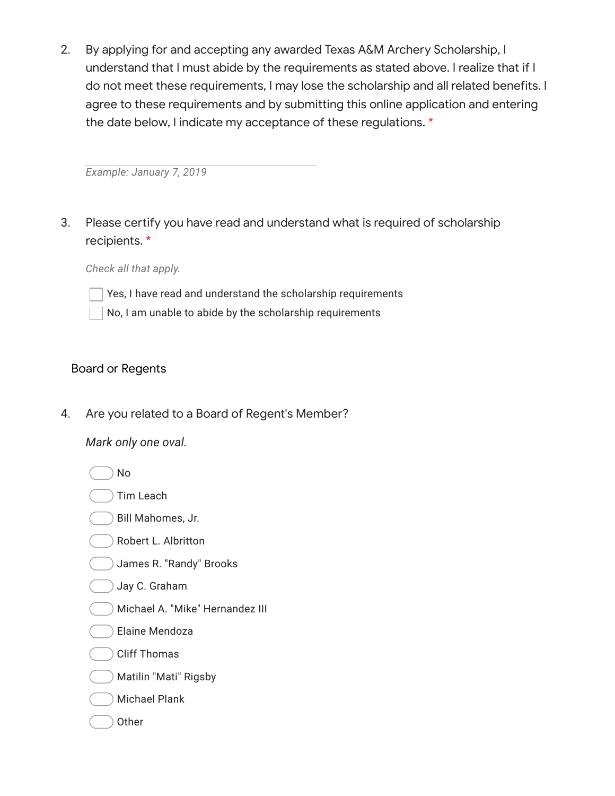2. By applying for and accepting any awarded Texas A&M Archery Scholarship, I understand that I must abide by the requirements as stated above. I realize that if I do not meet these requirements, I may lose the scholarship and all related benefits. I agree to these requirements and by submitting this online application and entering the date below, I indicate my acceptance of these regulations. \*

*Example: January 7, 2019*

3. Please certify you have read and understand what is required of scholarship recipients. \*

*Check all that apply.*

- Yes, I have read and understand the scholarship requirements
- No, I am unable to abide by the scholarship requirements

### Board or Regents

4. Are you related to a Board of Regent's Member?

*Mark only one oval.*

No

- Tim Leach
- Bill Mahomes, Jr.
- Robert L. Albritton
- James R. "Randy" Brooks

#### Jay C. Graham

- Michael A. "Mike" Hernandez III
- Elaine Mendoza
- Cliff Thomas
- Matilin "Mati" Rigsby
- Michael Plank
- **Other**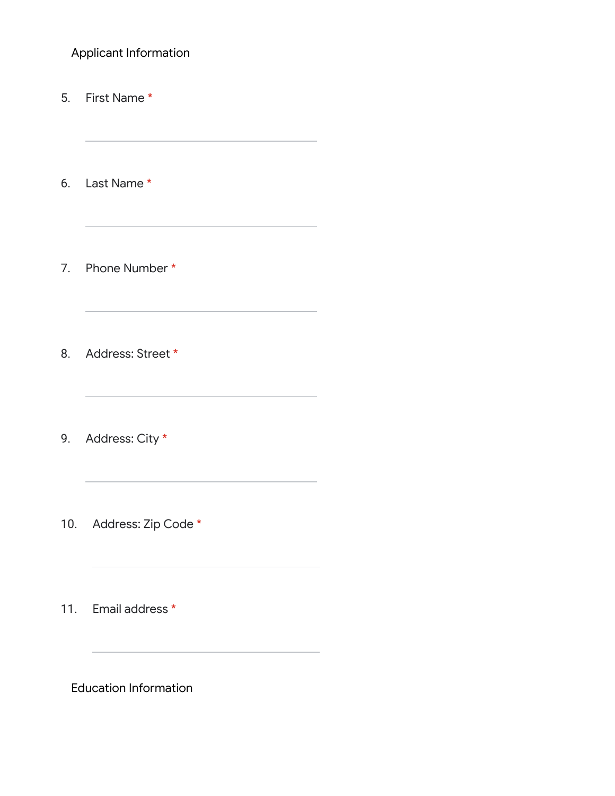Applicant Information

5. First Name \*

6. Last Name \*

7. Phone Number \*

8. Address: Street \*

9. Address: City \*

10. Address: Zip Code \*

11. Email address \*

Education Information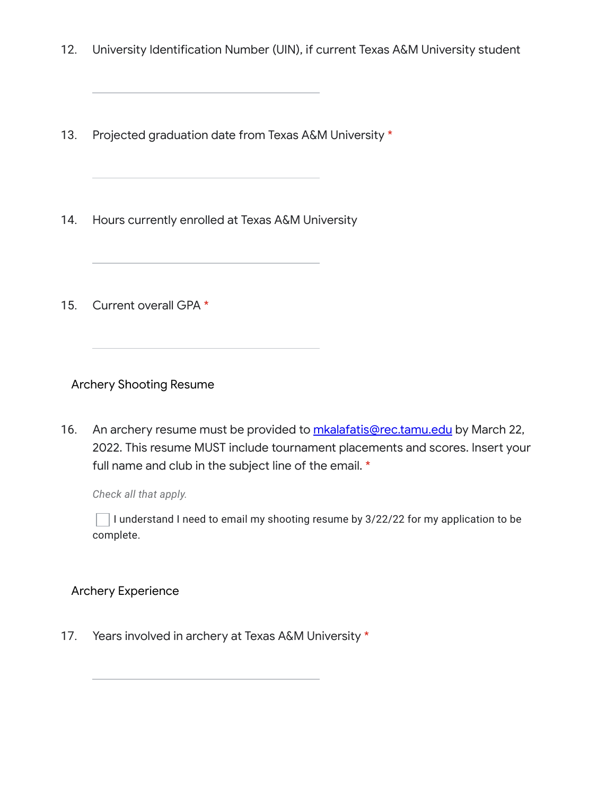- 12. University Identification Number (UIN), if current Texas A&M University student
- 13. Projected graduation date from Texas A&M University \*
- 14. Hours currently enrolled at Texas A&M University
- 15. Current overall GPA \*

Archery Shooting Resume

16. An archery resume must be provided to **[mkalafatis@rec.tamu.edu](mailto:mkalafatis@rec.tamu.edu)** by March 22, 2022. This resume MUST include tournament placements and scores. Insert your full name and club in the subject line of the email. \*

*Check all that apply.*

I understand I need to email my shooting resume by 3/22/22 for my application to be complete.

Archery Experience

17. Years involved in archery at Texas A&M University \*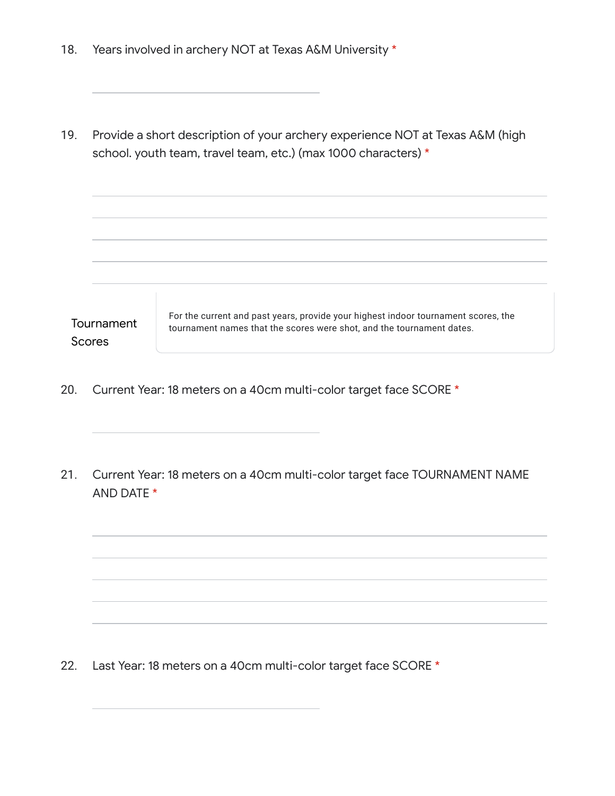| 18.                  |                                                                                                                                                 | Years involved in archery NOT at Texas A&M University *                                                                                                     |
|----------------------|-------------------------------------------------------------------------------------------------------------------------------------------------|-------------------------------------------------------------------------------------------------------------------------------------------------------------|
| 19.                  | Provide a short description of your archery experience NOT at Texas A&M (high<br>school. youth team, travel team, etc.) (max 1000 characters) * |                                                                                                                                                             |
|                      |                                                                                                                                                 |                                                                                                                                                             |
| Tournament<br>Scores |                                                                                                                                                 | For the current and past years, provide your highest indoor tournament scores, the<br>tournament names that the scores were shot, and the tournament dates. |

- 20. Current Year: 18 meters on a 40cm multi-color target face SCORE \*
- 21. Current Year: 18 meters on a 40cm multi-color target face TOURNAMENT NAME AND DATE \*

22. Last Year: 18 meters on a 40cm multi-color target face SCORE \*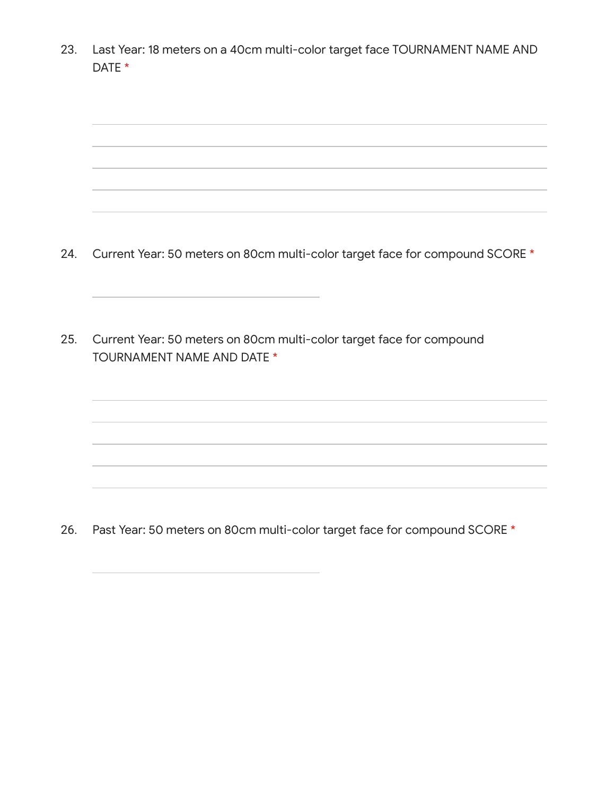23. Last Year: 18 meters on a 40cm multi-color target face TOURNAMENT NAME AND DATE \*



26. Past Year: 50 meters on 80cm multi-color target face for compound SCORE \*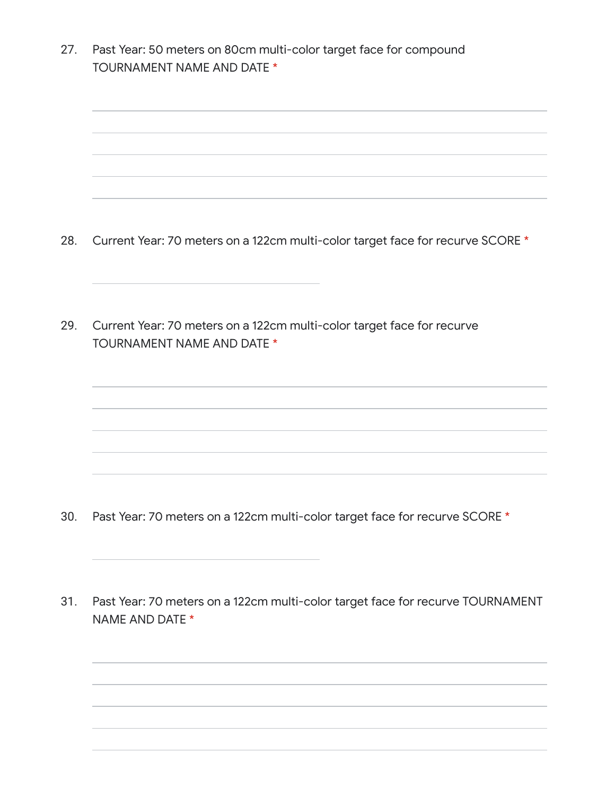27. Past Year: 50 meters on 80cm multi-color target face for compound TOURNAMENT NAME AND DATE \*

28. Current Year: 70 meters on a 122cm multi-color target face for recurve SCORE \*

29. Current Year: 70 meters on a 122cm multi-color target face for recurve TOURNAMENT NAME AND DATE \*

- 30. Past Year: 70 meters on a 122cm multi-color target face for recurve SCORE \*
- 31. Past Year: 70 meters on a 122cm multi-color target face for recurve TOURNAMENT NAME AND DATE \*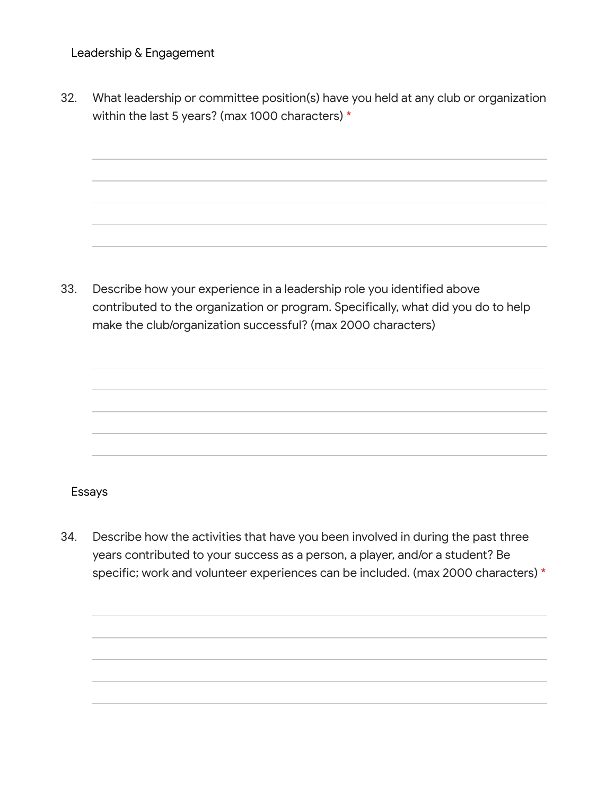Leadership & Engagement

32. What leadership or committee position(s) have you held at any club or organization within the last 5 years? (max 1000 characters) \*

33. Describe how your experience in a leadership role you identified above contributed to the organization or program. Specifically, what did you do to help make the club/organization successful? (max 2000 characters)



#### Essays

34. Describe how the activities that have you been involved in during the past three years contributed to your success as a person, a player, and/or a student? Be specific; work and volunteer experiences can be included. (max 2000 characters) \*